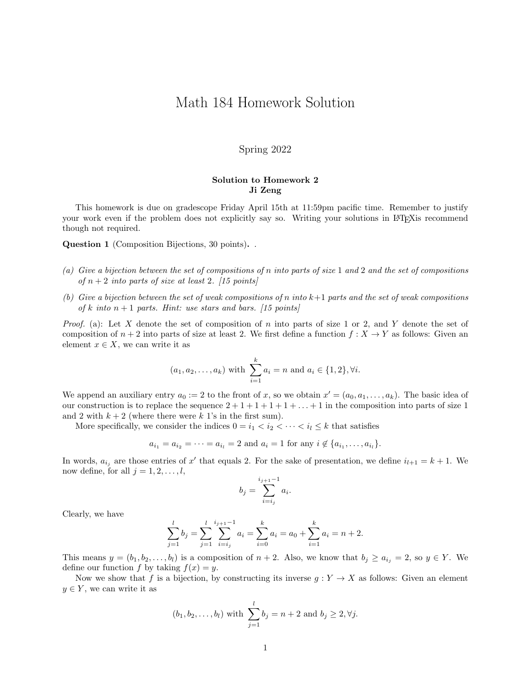## Math 184 Homework Solution

## Spring 2022

## Solution to Homework 2 Ji Zeng

This homework is due on gradescope Friday April 15th at 11:59pm pacific time. Remember to justify your work even if the problem does not explicitly say so. Writing your solutions in LATEX is recommend though not required.

Question 1 (Composition Bijections, 30 points). .

- (a) Give a bijection between the set of compositions of n into parts of size 1 and 2 and the set of compositions of  $n+2$  into parts of size at least 2. [15 points]
- (b) Give a bijection between the set of weak compositions of n into k+1 parts and the set of weak compositions of k into  $n+1$  parts. Hint: use stars and bars. [15 points]

*Proof.* (a): Let X denote the set of composition of n into parts of size 1 or 2, and Y denote the set of composition of  $n + 2$  into parts of size at least 2. We first define a function  $f : X \to Y$  as follows: Given an element  $x \in X$ , we can write it as

$$
(a_1, a_2,..., a_k)
$$
 with  $\sum_{i=1}^k a_i = n$  and  $a_i \in \{1,2\}, \forall i$ .

We append an auxiliary entry  $a_0 := 2$  to the front of x, so we obtain  $x' = (a_0, a_1, \ldots, a_k)$ . The basic idea of our construction is to replace the sequence  $2 + 1 + 1 + 1 + 1 + \ldots + 1$  in the composition into parts of size 1 and 2 with  $k + 2$  (where there were k 1's in the first sum).

More specifically, we consider the indices  $0 = i_1 < i_2 < \cdots < i_l \leq k$  that satisfies

$$
a_{i_1} = a_{i_2} = \cdots = a_{i_l} = 2
$$
 and  $a_i = 1$  for any  $i \notin \{a_{i_1}, \ldots, a_{i_l}\}.$ 

In words,  $a_{i_j}$  are those entries of x' that equals 2. For the sake of presentation, we define  $i_{l+1} = k + 1$ . We now define, for all  $j = 1, 2, \ldots, l$ ,

$$
b_j = \sum_{i=i_j}^{i_{j+1}-1} a_i.
$$

Clearly, we have

$$
\sum_{j=1}^{l} b_j = \sum_{j=1}^{l} \sum_{i=i_j}^{i_{j+1}-1} a_i = \sum_{i=0}^{k} a_i = a_0 + \sum_{i=1}^{k} a_i = n+2.
$$

This means  $y = (b_1, b_2, \ldots, b_l)$  is a composition of  $n + 2$ . Also, we know that  $b_j \ge a_{i_j} = 2$ , so  $y \in Y$ . We define our function f by taking  $f(x) = y$ .

Now we show that f is a bijection, by constructing its inverse  $g: Y \to X$  as follows: Given an element  $y \in Y$ , we can write it as

$$
(b_1, b_2,..., b_l)
$$
 with  $\sum_{j=1}^{l} b_j = n + 2$  and  $b_j \ge 2, \forall j$ .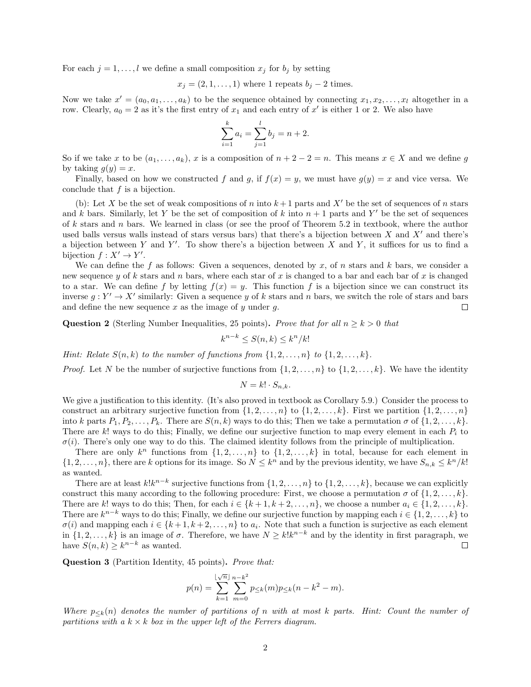For each  $j = 1, ..., l$  we define a small composition  $x_j$  for  $b_j$  by setting

$$
x_j = (2, 1, ..., 1)
$$
 where 1 repeats  $b_j - 2$  times.

Now we take  $x' = (a_0, a_1, \ldots, a_k)$  to be the sequence obtained by connecting  $x_1, x_2, \ldots, x_l$  altogether in a row. Clearly,  $a_0 = 2$  as it's the first entry of  $x_1$  and each entry of  $x'$  is either 1 or 2. We also have

$$
\sum_{i=1}^{k} a_i = \sum_{j=1}^{l} b_j = n + 2.
$$

So if we take x to be  $(a_1, \ldots, a_k)$ , x is a composition of  $n + 2 - 2 = n$ . This means  $x \in X$  and we define q by taking  $q(y) = x$ .

Finally, based on how we constructed f and g, if  $f(x) = y$ , we must have  $g(y) = x$  and vice versa. We conclude that  $f$  is a bijection.

(b): Let X be the set of weak compositions of n into  $k+1$  parts and X' be the set of sequences of n stars and k bars. Similarly, let Y be the set of composition of k into  $n + 1$  parts and Y' be the set of sequences of k stars and n bars. We learned in class (or see the proof of Theorem 5.2 in textbook, where the author used balls versus walls instead of stars versus bars) that there's a bijection between  $X$  and  $X'$  and there's a bijection between Y and Y'. To show there's a bijection between X and Y, it suffices for us to find a bijection  $f: X' \to Y'$ .

We can define the f as follows: Given a sequences, denoted by x, of n stars and k bars, we consider a new sequence y of k stars and n bars, where each star of x is changed to a bar and each bar of x is changed to a star. We can define f by letting  $f(x) = y$ . This function f is a bijection since we can construct its inverse  $g: Y' \to X'$  similarly: Given a sequence y of k stars and n bars, we switch the role of stars and bars and define the new sequence x as the image of  $y$  under  $q$ .  $\Box$ 

**Question 2** (Sterling Number Inequalities, 25 points). Prove that for all  $n \ge k > 0$  that

$$
k^{n-k} \le S(n,k) \le k^n/k!
$$

Hint: Relate  $S(n, k)$  to the number of functions from  $\{1, 2, \ldots, n\}$  to  $\{1, 2, \ldots, k\}$ .

*Proof.* Let N be the number of surjective functions from  $\{1, 2, \ldots, n\}$  to  $\{1, 2, \ldots, k\}$ . We have the identity

 $N = k! \cdot S_{n,k}.$ 

We give a justification to this identity. (It's also proved in textbook as Corollary 5.9.) Consider the process to construct an arbitrary surjective function from  $\{1, 2, \ldots, n\}$  to  $\{1, 2, \ldots, k\}$ . First we partition  $\{1, 2, \ldots, n\}$ into k parts  $P_1, P_2, \ldots, P_k$ . There are  $S(n, k)$  ways to do this; Then we take a permutation  $\sigma$  of  $\{1, 2, \ldots, k\}$ . There are k! ways to do this; Finally, we define our surjective function to map every element in each  $P_i$  to  $\sigma(i)$ . There's only one way to do this. The claimed identity follows from the principle of multiplication.

There are only  $k^n$  functions from  $\{1, 2, ..., n\}$  to  $\{1, 2, ..., k\}$  in total, because for each element in  $\{1, 2, \ldots, n\}$ , there are k options for its image. So  $N \leq k^n$  and by the previous identity, we have  $S_{n,k} \leq k^n/k!$ as wanted.

There are at least  $k!k^{n-k}$  surjective functions from  $\{1, 2, \ldots, n\}$  to  $\{1, 2, \ldots, k\}$ , because we can explicitly construct this many according to the following procedure: First, we choose a permutation  $\sigma$  of  $\{1, 2, \ldots, k\}$ . There are k! ways to do this; Then, for each  $i \in \{k+1, k+2, \ldots, n\}$ , we choose a number  $a_i \in \{1, 2, \ldots, k\}$ . There are  $k^{n-k}$  ways to do this; Finally, we define our surjective function by mapping each  $i \in \{1, 2, ..., k\}$  to  $\sigma(i)$  and mapping each  $i \in \{k+1, k+2, \ldots, n\}$  to  $a_i$ . Note that such a function is surjective as each element in  $\{1, 2, \ldots, k\}$  is an image of  $\sigma$ . Therefore, we have  $N \geq k! k^{n-k}$  and by the identity in first paragraph, we have  $S(n,k) \geq k^{n-k}$  as wanted.  $\Box$ 

Question 3 (Partition Identity, 45 points). Prove that:

$$
p(n) = \sum_{k=1}^{\lfloor \sqrt{n} \rfloor} \sum_{m=0}^{n-k^2} p_{\leq k}(m) p_{\leq k}(n-k^2-m).
$$

Where  $p_{\leq k}(n)$  denotes the number of partitions of n with at most k parts. Hint: Count the number of partitions with a  $k \times k$  box in the upper left of the Ferrers diagram.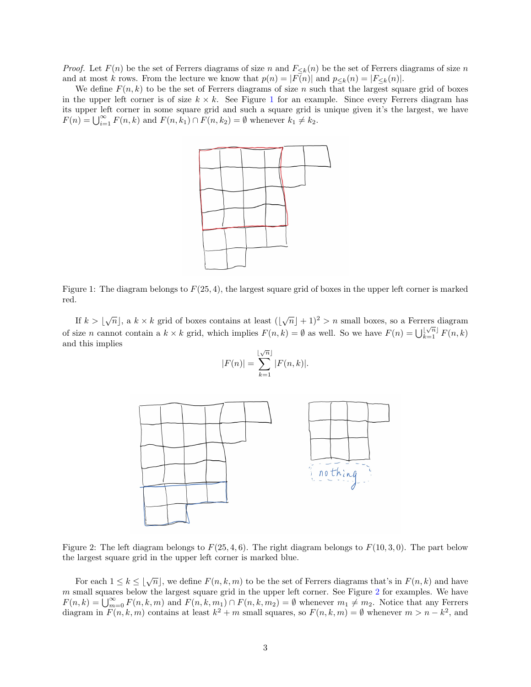*Proof.* Let  $F(n)$  be the set of Ferrers diagrams of size n and  $F_{\leq k}(n)$  be the set of Ferrers diagrams of size n and at most k rows. From the lecture we know that  $p(n) = |F(n)|$  and  $p_{\leq k}(n) = |F_{\leq k}(n)|$ .

<span id="page-2-0"></span>We define  $F(n, k)$  to be the set of Ferrers diagrams of size n such that the largest square grid of boxes in the upper left corner is of size  $k \times k$ . See Figure [1](#page-2-0) for an example. Since every Ferrers diagram has its upper left corner in some square grid and such a square grid is unique given it's the largest, we have  $F(n) = \bigcup_{i=1}^{\infty} F(n,k)$  and  $F(n,k_1) \cap F(n,k_2) = \emptyset$  whenever  $k_1 \neq k_2$ .



Figure 1: The diagram belongs to  $F(25, 4)$ , the largest square grid of boxes in the upper left corner is marked red.

If  $k > \lfloor \sqrt{n} \rfloor$ , a  $k \times k$  grid of boxes contains at least  $(\lfloor \sqrt{n} \rfloor + 1)^2 > n$  small boxes, so a Ferrers diagram of size *n* cannot contain a  $k \times k$  grid, which implies  $F(n, k) = \emptyset$  as well. So we have  $F(n) = \bigcup_{k=1}^{\lfloor \sqrt{n} \rfloor} F(n, k)$ and this implies √

$$
|F(n)| = \sum_{k=1}^{\lfloor \sqrt{n} \rfloor} |F(n,k)|.
$$

<span id="page-2-1"></span>

Figure 2: The left diagram belongs to  $F(25, 4, 6)$ . The right diagram belongs to  $F(10, 3, 0)$ . The part below the largest square grid in the upper left corner is marked blue.

For each  $1 \leq k \leq |\sqrt{n}|$ , we define  $F(n, k, m)$  to be the set of Ferrers diagrams that's in  $F(n, k)$  and have  $m$  small squares below the largest square grid in the upper left corner. See Figure [2](#page-2-1) for examples. We have  $F(n,k) = \bigcup_{m=0}^{\infty} F(n,k,m)$  and  $F(n,k,m_1) \cap F(n,k,m_2) = \emptyset$  whenever  $m_1 \neq m_2$ . Notice that any Ferrers diagram in  $F(n, k, m)$  contains at least  $k^2 + m$  small squares, so  $F(n, k, m) = \emptyset$  whenever  $m > n - k^2$ , and